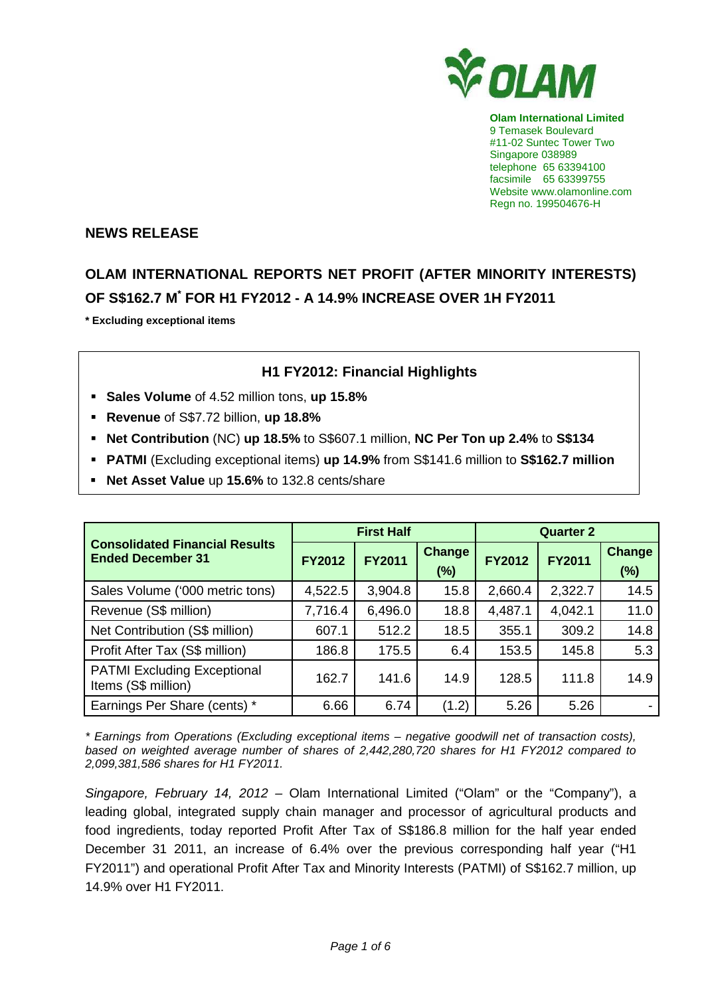

**Olam International Limited**  9 Temasek Boulevard #11-02 Suntec Tower Two Singapore 038989 telephone 65 63394100 facsimile 65 63399755 Website www.olamonline.com Regn no. 199504676-H

#### **NEWS RELEASE**

# **OLAM INTERNATIONAL REPORTS NET PROFIT (AFTER MINORITY INTERESTS) OF S\$162.7 M\* FOR H1 FY2012 - A 14.9% INCREASE OVER 1H FY2011**

**\* Excluding exceptional items** 

## **H1 FY2012: Financial Highlights**

- **Sales Volume** of 4.52 million tons, **up 15.8%**
- **Revenue** of S\$7.72 billion, **up 18.8%**
- **Net Contribution** (NC) **up 18.5%** to S\$607.1 million, **NC Per Ton up 2.4%** to **S\$134**
- **PATMI** (Excluding exceptional items) **up 14.9%** from S\$141.6 million to **S\$162.7 million**
- **Net Asset Value** up **15.6%** to 132.8 cents/share

|                                                                   |               | <b>First Half</b> |                         | <b>Quarter 2</b> |               |                         |
|-------------------------------------------------------------------|---------------|-------------------|-------------------------|------------------|---------------|-------------------------|
| <b>Consolidated Financial Results</b><br><b>Ended December 31</b> | <b>FY2012</b> | <b>FY2011</b>     | <b>Change</b><br>$(\%)$ | <b>FY2012</b>    | <b>FY2011</b> | <b>Change</b><br>$(\%)$ |
| Sales Volume ('000 metric tons)                                   | 4,522.5       | 3,904.8           | 15.8                    | 2,660.4          | 2,322.7       | 14.5                    |
| Revenue (S\$ million)                                             | 7,716.4       | 6,496.0           | 18.8                    | 4,487.1          | 4,042.1       | 11.0                    |
| Net Contribution (S\$ million)                                    | 607.1         | 512.2             | 18.5                    | 355.1            | 309.2         | 14.8                    |
| Profit After Tax (S\$ million)                                    | 186.8         | 175.5             | 6.4                     | 153.5            | 145.8         | 5.3                     |
| <b>PATMI Excluding Exceptional</b><br>Items (S\$ million)         | 162.7         | 141.6             | 14.9                    | 128.5            | 111.8         | 14.9                    |
| Earnings Per Share (cents) *                                      | 6.66          | 6.74              | (1.2)                   | 5.26             | 5.26          |                         |

\* Earnings from Operations (Excluding exceptional items – negative goodwill net of transaction costs), based on weighted average number of shares of 2,442,280,720 shares for H1 FY2012 compared to 2,099,381,586 shares for H1 FY2011.

Singapore, February 14, 2012 – Olam International Limited ("Olam" or the "Company"), a leading global, integrated supply chain manager and processor of agricultural products and food ingredients, today reported Profit After Tax of S\$186.8 million for the half year ended December 31 2011, an increase of 6.4% over the previous corresponding half year ("H1 FY2011") and operational Profit After Tax and Minority Interests (PATMI) of S\$162.7 million, up 14.9% over H1 FY2011.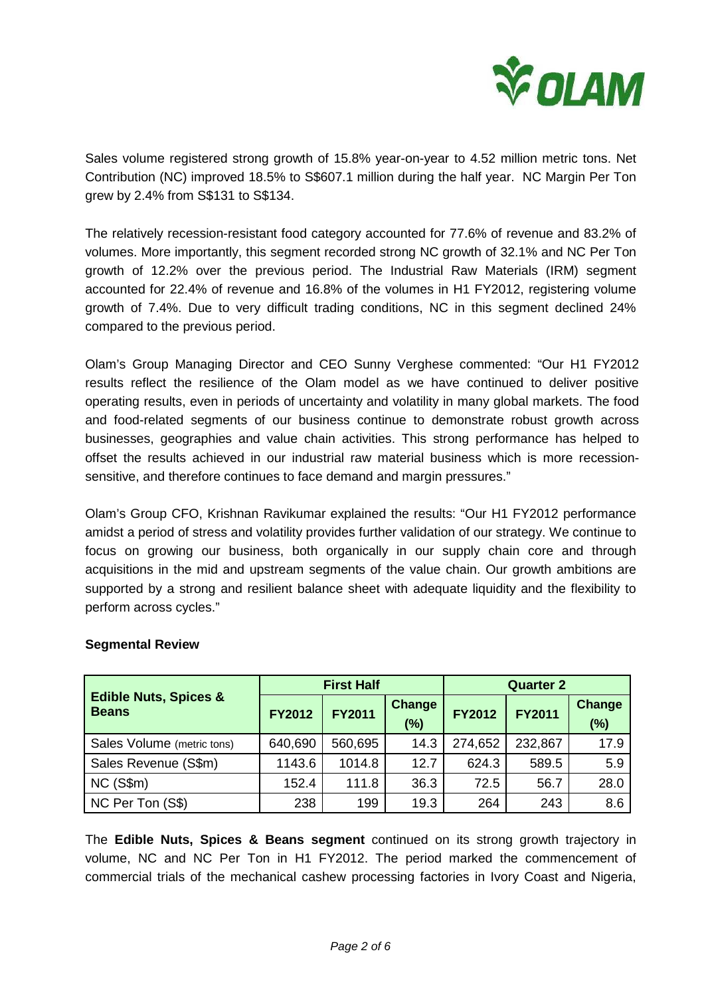

Sales volume registered strong growth of 15.8% year-on-year to 4.52 million metric tons. Net Contribution (NC) improved 18.5% to S\$607.1 million during the half year. NC Margin Per Ton grew by 2.4% from S\$131 to S\$134.

The relatively recession-resistant food category accounted for 77.6% of revenue and 83.2% of volumes. More importantly, this segment recorded strong NC growth of 32.1% and NC Per Ton growth of 12.2% over the previous period. The Industrial Raw Materials (IRM) segment accounted for 22.4% of revenue and 16.8% of the volumes in H1 FY2012, registering volume growth of 7.4%. Due to very difficult trading conditions, NC in this segment declined 24% compared to the previous period.

Olam's Group Managing Director and CEO Sunny Verghese commented: "Our H1 FY2012 results reflect the resilience of the Olam model as we have continued to deliver positive operating results, even in periods of uncertainty and volatility in many global markets. The food and food-related segments of our business continue to demonstrate robust growth across businesses, geographies and value chain activities. This strong performance has helped to offset the results achieved in our industrial raw material business which is more recessionsensitive, and therefore continues to face demand and margin pressures."

Olam's Group CFO, Krishnan Ravikumar explained the results: "Our H1 FY2012 performance amidst a period of stress and volatility provides further validation of our strategy. We continue to focus on growing our business, both organically in our supply chain core and through acquisitions in the mid and upstream segments of the value chain. Our growth ambitions are supported by a strong and resilient balance sheet with adequate liquidity and the flexibility to perform across cycles."

|                                                  |               | <b>First Half</b> |                      | <b>Quarter 2</b> |               |                      |
|--------------------------------------------------|---------------|-------------------|----------------------|------------------|---------------|----------------------|
| <b>Edible Nuts, Spices &amp;</b><br><b>Beans</b> | <b>FY2012</b> | <b>FY2011</b>     | <b>Change</b><br>(%) | <b>FY2012</b>    | <b>FY2011</b> | <b>Change</b><br>(%) |
| Sales Volume (metric tons)                       | 640,690       | 560,695           | 14.3                 | 274,652          | 232,867       | 17.9                 |
| Sales Revenue (S\$m)                             | 1143.6        | 1014.8            | 12.7                 | 624.3            | 589.5         | 5.9                  |
| $NC$ (S\$m)                                      | 152.4         | 111.8             | 36.3                 | 72.5             | 56.7          | 28.0                 |
| NC Per Ton (S\$)                                 | 238           | 199               | 19.3                 | 264              | 243           | 8.6                  |

## **Segmental Review**

The **Edible Nuts, Spices & Beans segment** continued on its strong growth trajectory in volume, NC and NC Per Ton in H1 FY2012. The period marked the commencement of commercial trials of the mechanical cashew processing factories in Ivory Coast and Nigeria,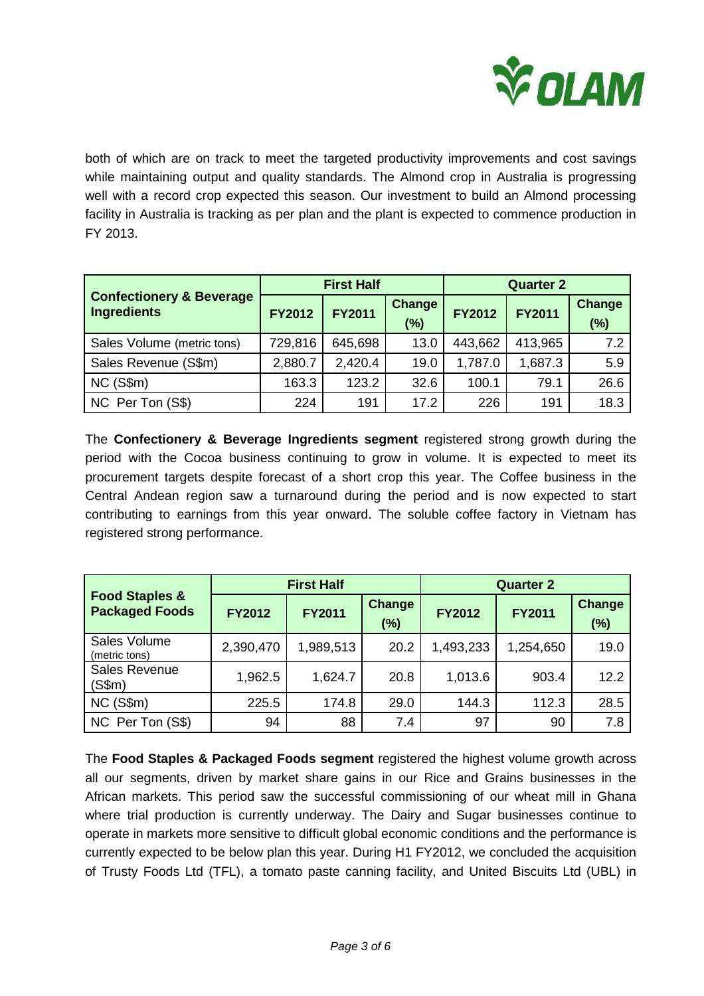

both of which are on track to meet the targeted productivity improvements and cost savings while maintaining output and quality standards. The Almond crop in Australia is progressing well with a record crop expected this season. Our investment to build an Almond processing facility in Australia is tracking as per plan and the plant is expected to commence production in FY 2013.

|                                                           |               | <b>First Half</b> |                         | <b>Quarter 2</b> |               |                         |
|-----------------------------------------------------------|---------------|-------------------|-------------------------|------------------|---------------|-------------------------|
| <b>Confectionery &amp; Beverage</b><br><b>Ingredients</b> | <b>FY2012</b> | <b>FY2011</b>     | <b>Change</b><br>$(\%)$ | <b>FY2012</b>    | <b>FY2011</b> | <b>Change</b><br>$(\%)$ |
| Sales Volume (metric tons)                                | 729,816       | 645,698           | 13.0                    | 443,662          | 413,965       | 7.2                     |
| Sales Revenue (S\$m)                                      | 2,880.7       | 2,420.4           | 19.0                    | 1,787.0          | 1,687.3       | 5.9                     |
| $NC$ (S\$m)                                               | 163.3         | 123.2             | 32.6                    | 100.1            | 79.1          | 26.6                    |
| NC Per Ton (S\$)                                          | 224           | 191               | 17.2                    | 226              | 191           | 18.3                    |

The **Confectionery & Beverage Ingredients segment** registered strong growth during the period with the Cocoa business continuing to grow in volume. It is expected to meet its procurement targets despite forecast of a short crop this year. The Coffee business in the Central Andean region saw a turnaround during the period and is now expected to start contributing to earnings from this year onward. The soluble coffee factory in Vietnam has registered strong performance.

|                                                    |               | <b>First Half</b> |                         | <b>Quarter 2</b> |               |               |  |
|----------------------------------------------------|---------------|-------------------|-------------------------|------------------|---------------|---------------|--|
| <b>Food Staples &amp;</b><br><b>Packaged Foods</b> | <b>FY2012</b> | <b>FY2011</b>     | <b>Change</b><br>$(\%)$ | <b>FY2012</b>    | <b>FY2011</b> | Change<br>(%) |  |
| Sales Volume<br>(metric tons)                      | 2,390,470     | 1,989,513         | 20.2                    | 1,493,233        | 1,254,650     | 19.0          |  |
| Sales Revenue<br>(S\$m)                            | 1,962.5       | 1,624.7           | 20.8                    | 1,013.6          | 903.4         | 12.2          |  |
| NC (S\$m)                                          | 225.5         | 174.8             | 29.0                    | 144.3            | 112.3         | 28.5          |  |
| NC Per Ton (S\$)                                   | 94            | 88                | 7.4                     | 97               | 90            | 7.8           |  |

The **Food Staples & Packaged Foods segment** registered the highest volume growth across all our segments, driven by market share gains in our Rice and Grains businesses in the African markets. This period saw the successful commissioning of our wheat mill in Ghana where trial production is currently underway. The Dairy and Sugar businesses continue to operate in markets more sensitive to difficult global economic conditions and the performance is currently expected to be below plan this year. During H1 FY2012, we concluded the acquisition of Trusty Foods Ltd (TFL), a tomato paste canning facility, and United Biscuits Ltd (UBL) in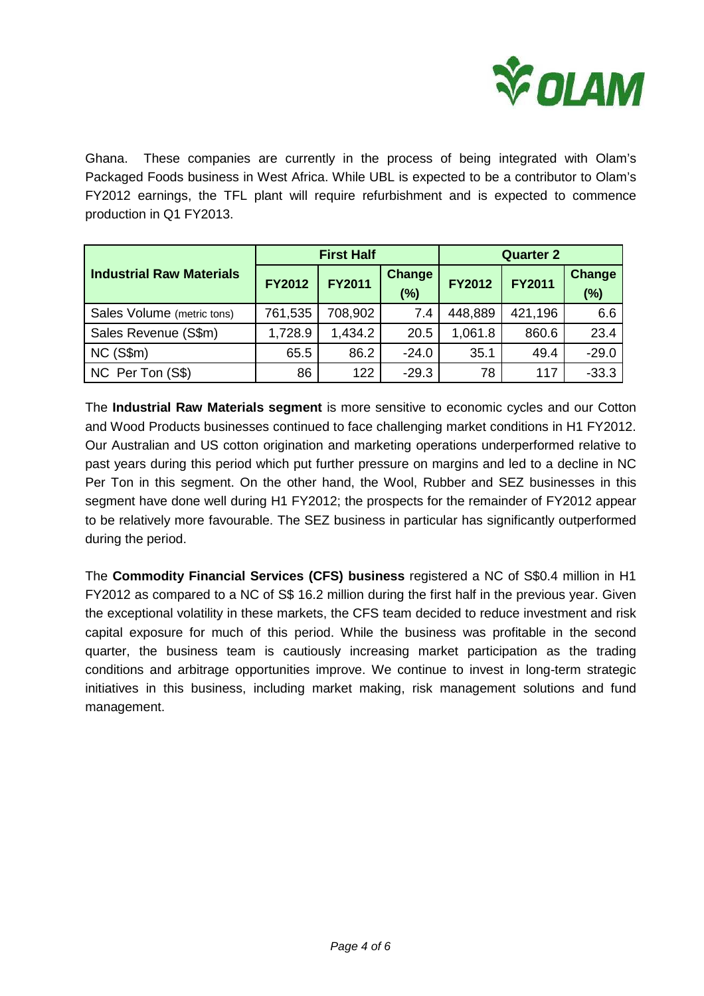

Ghana. These companies are currently in the process of being integrated with Olam's Packaged Foods business in West Africa. While UBL is expected to be a contributor to Olam's FY2012 earnings, the TFL plant will require refurbishment and is expected to commence production in Q1 FY2013.

|                                 |               | <b>First Half</b> |               | <b>Quarter 2</b> |               |               |
|---------------------------------|---------------|-------------------|---------------|------------------|---------------|---------------|
| <b>Industrial Raw Materials</b> | <b>FY2012</b> | <b>FY2011</b>     | <b>Change</b> | <b>FY2012</b>    | <b>FY2011</b> | <b>Change</b> |
|                                 |               |                   | (%)           |                  |               | $(\%)$        |
| Sales Volume (metric tons)      | 761,535       | 708,902           | 7.4           | 448,889          | 421,196       | 6.6           |
| Sales Revenue (S\$m)            | 1,728.9       | 1,434.2           | 20.5          | 1,061.8          | 860.6         | 23.4          |
| NC(S\$m)                        | 65.5          | 86.2              | $-24.0$       | 35.1             | 49.4          | $-29.0$       |
| NC Per Ton (S\$)                | 86            | 122               | $-29.3$       | 78               | 117           | $-33.3$       |

The **Industrial Raw Materials segment** is more sensitive to economic cycles and our Cotton and Wood Products businesses continued to face challenging market conditions in H1 FY2012. Our Australian and US cotton origination and marketing operations underperformed relative to past years during this period which put further pressure on margins and led to a decline in NC Per Ton in this segment. On the other hand, the Wool, Rubber and SEZ businesses in this segment have done well during H1 FY2012; the prospects for the remainder of FY2012 appear to be relatively more favourable. The SEZ business in particular has significantly outperformed during the period.

The **Commodity Financial Services (CFS) business** registered a NC of S\$0.4 million in H1 FY2012 as compared to a NC of S\$ 16.2 million during the first half in the previous year. Given the exceptional volatility in these markets, the CFS team decided to reduce investment and risk capital exposure for much of this period. While the business was profitable in the second quarter, the business team is cautiously increasing market participation as the trading conditions and arbitrage opportunities improve. We continue to invest in long-term strategic initiatives in this business, including market making, risk management solutions and fund management.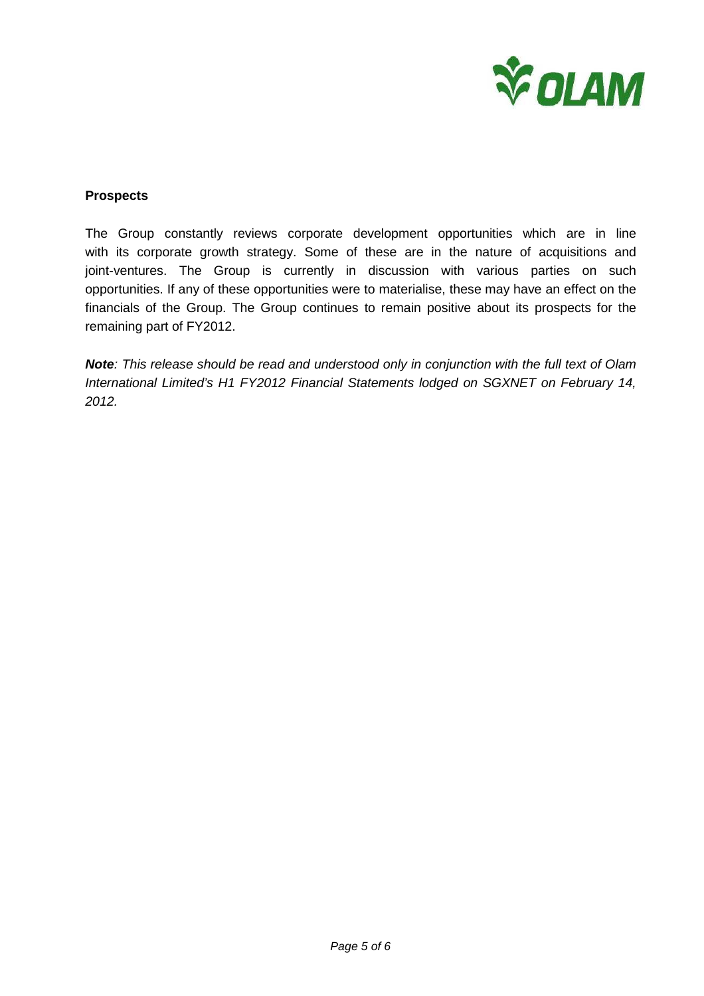

#### **Prospects**

The Group constantly reviews corporate development opportunities which are in line with its corporate growth strategy. Some of these are in the nature of acquisitions and joint-ventures. The Group is currently in discussion with various parties on such opportunities. If any of these opportunities were to materialise, these may have an effect on the financials of the Group. The Group continues to remain positive about its prospects for the remaining part of FY2012.

**Note**: This release should be read and understood only in conjunction with the full text of Olam International Limited's H1 FY2012 Financial Statements lodged on SGXNET on February 14, 2012.